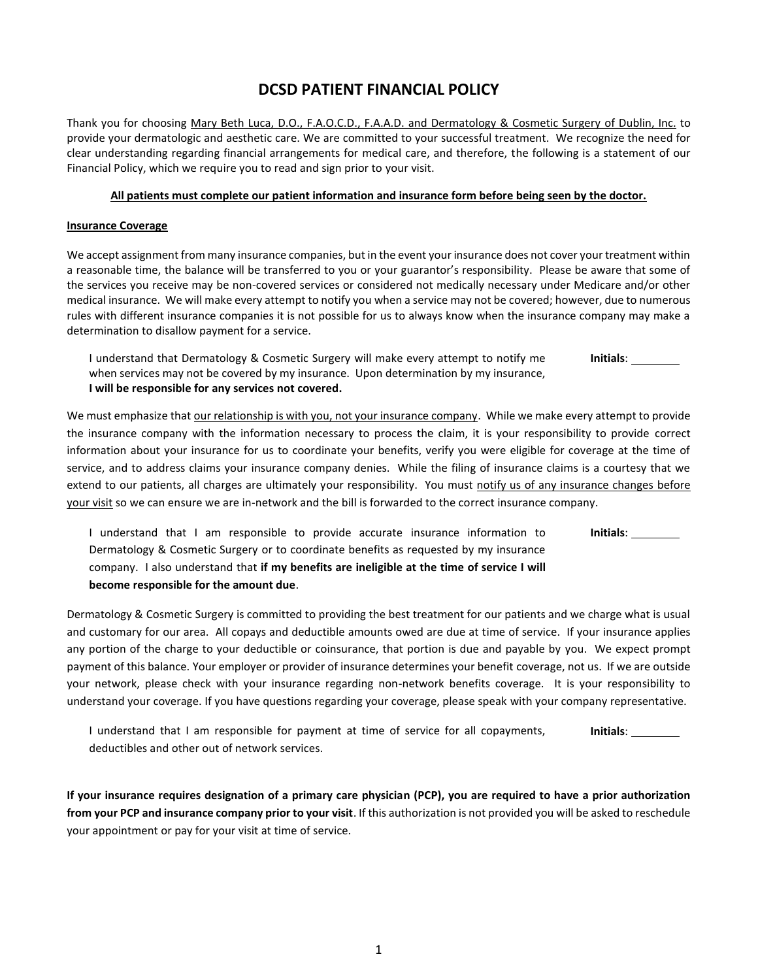# **DCSD PATIENT FINANCIAL POLICY**

Thank you for choosing Mary Beth Luca, D.O., F.A.O.C.D., F.A.A.D. and Dermatology & Cosmetic Surgery of Dublin, Inc. to provide your dermatologic and aesthetic care. We are committed to your successful treatment. We recognize the need for clear understanding regarding financial arrangements for medical care, and therefore, the following is a statement of our Financial Policy, which we require you to read and sign prior to your visit.

# **All patients must complete our patient information and insurance form before being seen by the doctor.**

#### **Insurance Coverage**

We accept assignment from many insurance companies, but in the event your insurance does not cover your treatment within a reasonable time, the balance will be transferred to you or your guarantor's responsibility. Please be aware that some of the services you receive may be non-covered services or considered not medically necessary under Medicare and/or other medical insurance. We will make every attempt to notify you when a service may not be covered; however, due to numerous rules with different insurance companies it is not possible for us to always know when the insurance company may make a determination to disallow payment for a service.

I understand that Dermatology & Cosmetic Surgery will make every attempt to notify me when services may not be covered by my insurance. Upon determination by my insurance, **I will be responsible for any services not covered. Initials**:

We must emphasize that our relationship is with you, not your insurance company. While we make every attempt to provide the insurance company with the information necessary to process the claim, it is your responsibility to provide correct information about your insurance for us to coordinate your benefits, verify you were eligible for coverage at the time of service, and to address claims your insurance company denies. While the filing of insurance claims is a courtesy that we extend to our patients, all charges are ultimately your responsibility. You must notify us of any insurance changes before your visit so we can ensure we are in-network and the bill is forwarded to the correct insurance company.

I understand that I am responsible to provide accurate insurance information to Dermatology & Cosmetic Surgery or to coordinate benefits as requested by my insurance company. I also understand that **if my benefits are ineligible at the time of service I will become responsible for the amount due**. **Initials**:

Dermatology & Cosmetic Surgery is committed to providing the best treatment for our patients and we charge what is usual and customary for our area. All copays and deductible amounts owed are due at time of service. If your insurance applies any portion of the charge to your deductible or coinsurance, that portion is due and payable by you. We expect prompt payment of this balance. Your employer or provider of insurance determines your benefit coverage, not us. If we are outside your network, please check with your insurance regarding non-network benefits coverage. It is your responsibility to understand your coverage. If you have questions regarding your coverage, please speak with your company representative.

I understand that I am responsible for payment at time of service for all copayments, deductibles and other out of network services. **Initials**:

**If your insurance requires designation of a primary care physician (PCP), you are required to have a prior authorization from your PCP and insurance company prior to your visit**. If this authorization is not provided you will be asked to reschedule your appointment or pay for your visit at time of service.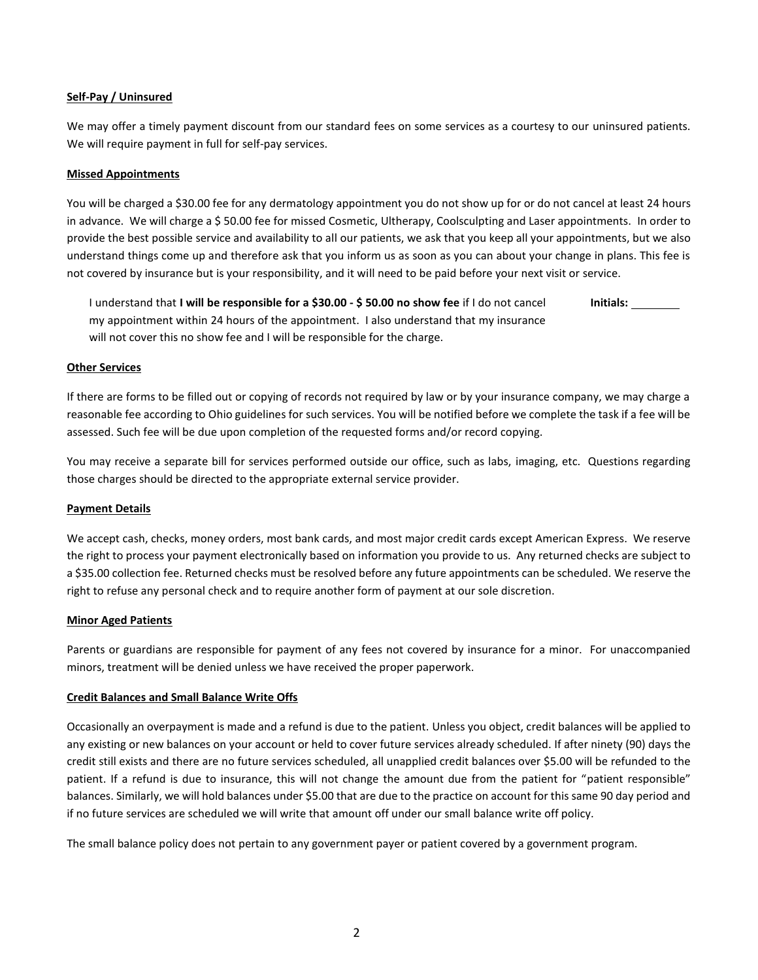# **Self-Pay / Uninsured**

We may offer a timely payment discount from our standard fees on some services as a courtesy to our uninsured patients. We will require payment in full for self-pay services.

### **Missed Appointments**

You will be charged a \$30.00 fee for any dermatology appointment you do not show up for or do not cancel at least 24 hours in advance. We will charge a \$50.00 fee for missed Cosmetic, Ultherapy, Coolsculpting and Laser appointments. In order to provide the best possible service and availability to all our patients, we ask that you keep all your appointments, but we also understand things come up and therefore ask that you inform us as soon as you can about your change in plans. This fee is not covered by insurance but is your responsibility, and it will need to be paid before your next visit or service.

I understand that **I will be responsible for a \$30.00 - \$ 50.00 no show fee** if I do not cancel my appointment within 24 hours of the appointment. I also understand that my insurance will not cover this no show fee and I will be responsible for the charge. **Initials:** 

#### **Other Services**

If there are forms to be filled out or copying of records not required by law or by your insurance company, we may charge a reasonable fee according to Ohio guidelines for such services. You will be notified before we complete the task if a fee will be assessed. Such fee will be due upon completion of the requested forms and/or record copying.

You may receive a separate bill for services performed outside our office, such as labs, imaging, etc. Questions regarding those charges should be directed to the appropriate external service provider.

# **Payment Details**

We accept cash, checks, money orders, most bank cards, and most major credit cards except American Express. We reserve the right to process your payment electronically based on information you provide to us. Any returned checks are subject to a \$35.00 collection fee. Returned checks must be resolved before any future appointments can be scheduled. We reserve the right to refuse any personal check and to require another form of payment at our sole discretion.

#### **Minor Aged Patients**

Parents or guardians are responsible for payment of any fees not covered by insurance for a minor. For unaccompanied minors, treatment will be denied unless we have received the proper paperwork.

#### **Credit Balances and Small Balance Write Offs**

Occasionally an overpayment is made and a refund is due to the patient. Unless you object, credit balances will be applied to any existing or new balances on your account or held to cover future services already scheduled. If after ninety (90) days the credit still exists and there are no future services scheduled, all unapplied credit balances over \$5.00 will be refunded to the patient. If a refund is due to insurance, this will not change the amount due from the patient for "patient responsible" balances. Similarly, we will hold balances under \$5.00 that are due to the practice on account for this same 90 day period and if no future services are scheduled we will write that amount off under our small balance write off policy.

The small balance policy does not pertain to any government payer or patient covered by a government program.